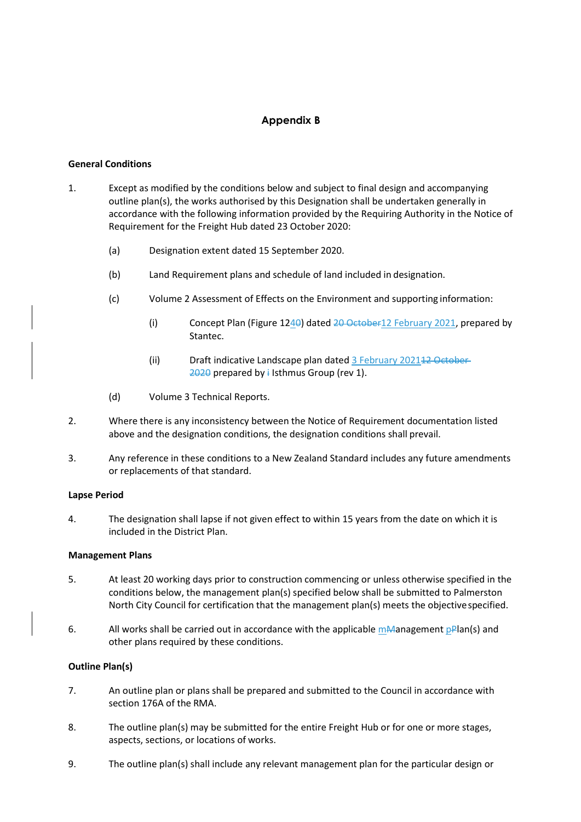# **Appendix B**

## **General Conditions**

- 1. Except as modified by the conditions below and subject to final design and accompanying outline plan(s), the works authorised by this Designation shall be undertaken generally in accordance with the following information provided by the Requiring Authority in the Notice of Requirement for the Freight Hub dated 23 October 2020:
	- (a) Designation extent dated 15 September 2020.
	- (b) Land Requirement plans and schedule of land included in designation.
	- (c) Volume 2 Assessment of Effects on the Environment and supporting information:
		- (i) Concept Plan (Figure 1240) dated 20 October 12 February 2021, prepared by Stantec.
		- (ii) Draft indicative Landscape plan dated 3 February 202112 October  $2020$  prepared by i Isthmus Group (rev 1).
	- (d) Volume 3 Technical Reports.
- 2. Where there is any inconsistency between the Notice of Requirement documentation listed above and the designation conditions, the designation conditions shall prevail.
- 3. Any reference in these conditions to a New Zealand Standard includes any future amendments or replacements of that standard.

### **Lapse Period**

4. The designation shall lapse if not given effect to within 15 years from the date on which it is included in the District Plan.

### **Management Plans**

- 5. At least 20 working days prior to construction commencing or unless otherwise specified in the conditions below, the management plan(s) specified below shall be submitted to Palmerston North City Council for certification that the management plan(s) meets the objective specified.
- 6. All works shall be carried out in accordance with the applicable mManagement  $pPlan(s)$  and other plans required by these conditions.

## **Outline Plan(s)**

- 7. An outline plan or plans shall be prepared and submitted to the Council in accordance with section 176A of the RMA.
- 8. The outline plan(s) may be submitted for the entire Freight Hub or for one or more stages, aspects, sections, or locations of works.
- 9. The outline plan(s) shall include any relevant management plan for the particular design or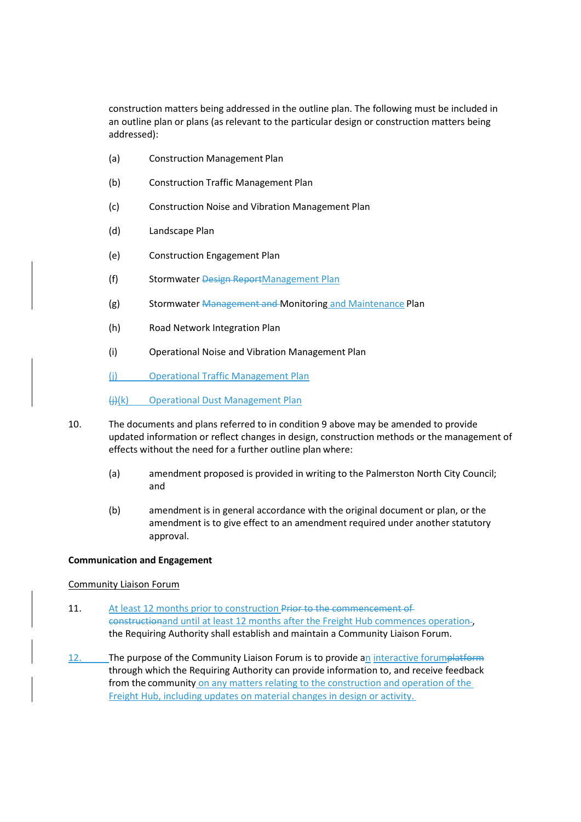construction matters being addressed in the outline plan. The following must be included in an outline plan or plans (as relevant to the particular design or construction matters being addressed):

- (a) Construction Management Plan
- (b) Construction Traffic Management Plan
- (c) Construction Noise and Vibration Management Plan
- (d) Landscape Plan
- (e) Construction Engagement Plan
- (f) Stormwater Design ReportManagement Plan
- (g) Stormwater Management and Monitoring and Maintenance Plan
- (h) Road Network Integration Plan
- (i) Operational Noise and Vibration Management Plan

(j) Operational Traffic Management Plan

(j)(k) Operational Dust Management Plan

- 10. The documents and plans referred to in condition 9 above may be amended to provide updated information or reflect changes in design, construction methods or the management of effects without the need for a further outline plan where:
	- (a) amendment proposed is provided in writing to the Palmerston North City Council; and
	- (b) amendment is in general accordance with the original document or plan, or the amendment is to give effect to an amendment required under another statutory approval.

## **Communication and Engagement**

## Community Liaison Forum

- 11. At least 12 months prior to construction Prior to the commencement of constructionand until at least 12 months after the Freight Hub commences operationthe Requiring Authority shall establish and maintain a Community Liaison Forum.
- 12. The purpose of the Community Liaison Forum is to provide an interactive forumplatform through which the Requiring Authority can provide information to, and receive feedback from the community on any matters relating to the construction and operation of the Freight Hub, including updates on material changes in design or activity.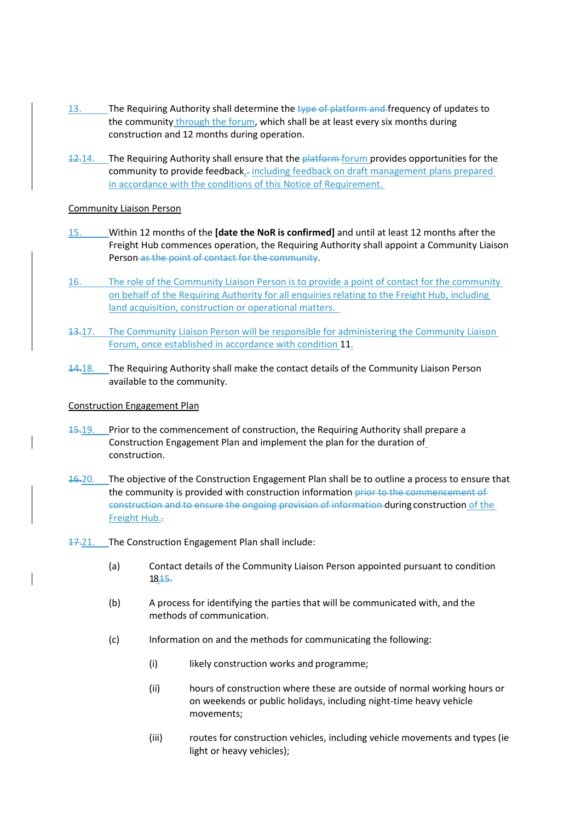- 13. The Requiring Authority shall determine the type of platform and frequency of updates to the community through the forum, which shall be at least every six months during construction and 12 months during operation.
- 12.14. The Requiring Authority shall ensure that the *platform forum provides opportunities for the* community to provide feedback $k_{\overline{i}}$  including feedback on draft management plans prepared in accordance with the conditions of this Notice of Requirement.

## Community Liaison Person

- 15. Within 12 months of the **[date the NoR is confirmed]** and until at least 12 months after the Freight Hub commences operation, the Requiring Authority shall appoint a Community Liaison Person as the point of contact for the community.
- 16. The role of the Community Liaison Person is to provide a point of contact for the community on behalf of the Requiring Authority for all enquiries relating to the Freight Hub, including land acquisition, construction or operational matters.
- 13.17. The Community Liaison Person will be responsible for administering the Community Liaison Forum, once established in accordance with condition 11.
- 14.18. The Requiring Authority shall make the contact details of the Community Liaison Person available to the community.

## Construction Engagement Plan

- 15.19. Prior to the commencement of construction, the Requiring Authority shall prepare a Construction Engagement Plan and implement the plan for the duration of construction.
- 16.20. The objective of the Construction Engagement Plan shall be to outline a process to ensure that the community is provided with construction information prior to the commencement of construction and to ensure the ongoing provision of information during construction of the Freight Hub..
- 17.21. The Construction Engagement Plan shall include:
	- (a) Contact details of the Community Liaison Person appointed pursuant to condition 18.15.
	- (b) A process for identifying the parties that will be communicated with, and the methods of communication.
	- (c) Information on and the methods for communicating the following:
		- (i) likely construction works and programme;
		- (ii) hours of construction where these are outside of normal working hours or on weekends or public holidays, including night-time heavy vehicle movements;
		- (iii) routes for construction vehicles, including vehicle movements and types (ie light or heavy vehicles);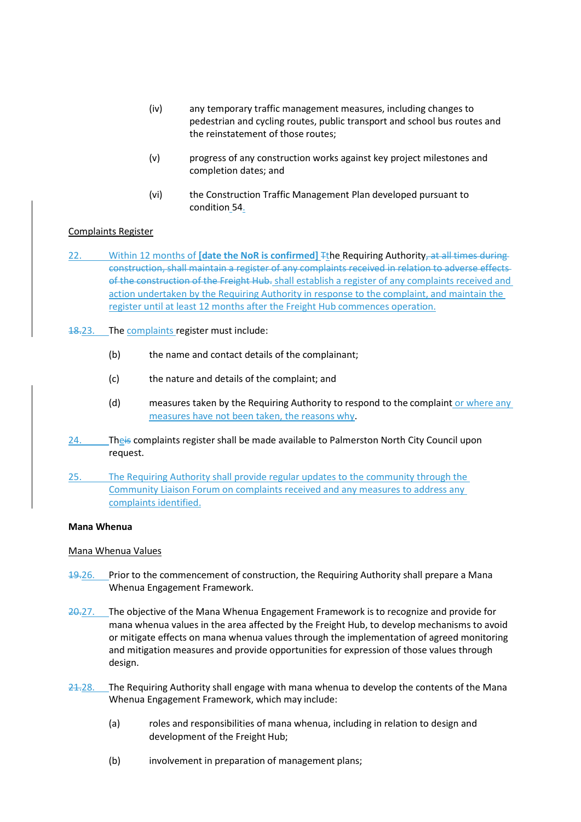- (iv) any temporary traffic management measures, including changes to pedestrian and cycling routes, public transport and school bus routes and the reinstatement of those routes;
- (v) progress of any construction works against key project milestones and completion dates; and
- (vi) the Construction Traffic Management Plan developed pursuant to condition 54.

## Complaints Register

- 22. Within 12 months of **[date the NoR is confirmed]** The Requiring Authority, at all times during construction, shall maintain a register of any complaints received in relation to adverse effects of the construction of the Freight Hub. shall establish a register of any complaints received and action undertaken by the Requiring Authority in response to the complaint, and maintain the register until at least 12 months after the Freight Hub commences operation.
- 18.23. The complaints register must include:
	- (b) the name and contact details of the complainant;
	- (c) the nature and details of the complaint; and
	- (d) measures taken by the Requiring Authority to respond to the complaint or where any measures have not been taken, the reasons why.
- 24. Theis complaints register shall be made available to Palmerston North City Council upon request.
- 25. The Requiring Authority shall provide regular updates to the community through the Community Liaison Forum on complaints received and any measures to address any complaints identified.

## **Mana Whenua**

## Mana Whenua Values

- 19.26. Prior to the commencement of construction, the Requiring Authority shall prepare a Mana Whenua Engagement Framework.
- 20.27. The objective of the Mana Whenua Engagement Framework is to recognize and provide for mana whenua values in the area affected by the Freight Hub, to develop mechanisms to avoid or mitigate effects on mana whenua values through the implementation of agreed monitoring and mitigation measures and provide opportunities for expression of those values through design.
- $24.28$ . The Requiring Authority shall engage with mana whenua to develop the contents of the Mana Whenua Engagement Framework, which may include:
	- (a) roles and responsibilities of mana whenua, including in relation to design and development of the Freight Hub;
	- (b) involvement in preparation of management plans;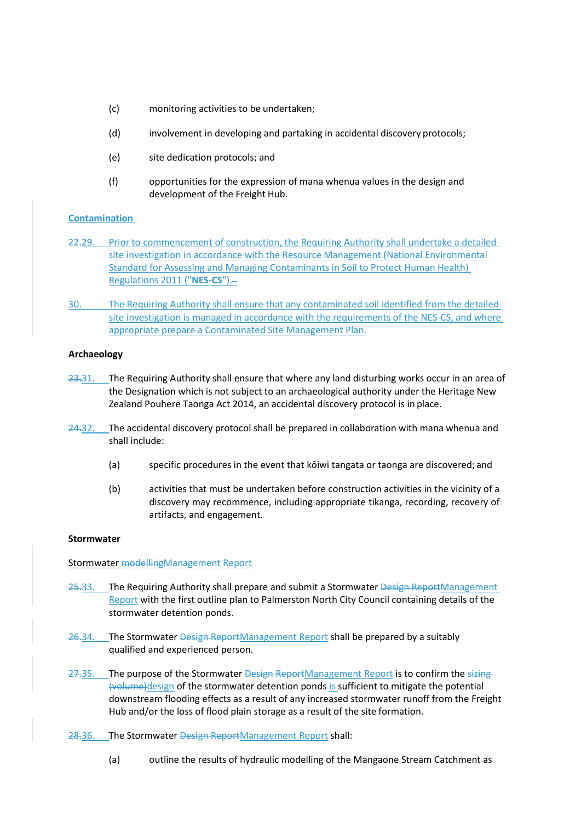- (c) monitoring activities to be undertaken;
- (d) involvement in developing and partaking in accidental discovery protocols;
- (e) site dedication protocols; and
- (f) opportunities for the expression of mana whenua values in the design and development of the Freight Hub.

## **Contamination**

- 22.29. Prior to commencement of construction, the Requiring Authority shall undertake a detailed site investigation in accordance with the Resource Management (National Environmental Standard for Assessing and Managing Contaminants in Soil to Protect Human Health) Regulations 2011 ("**NES-CS**").
- 30. The Requiring Authority shall ensure that any contaminated soil identified from the detailed site investigation is managed in accordance with the requirements of the NES-CS, and where appropriate prepare a Contaminated Site Management Plan.

### **Archaeology**

- 23.31. The Requiring Authority shall ensure that where any land disturbing works occur in an area of the Designation which is not subject to an archaeological authority under the Heritage New Zealand Pouhere Taonga Act 2014, an accidental discovery protocol is in place.
- 24.32. The accidental discovery protocol shall be prepared in collaboration with mana whenua and shall include:
	- (a) specific procedures in the event that kōiwi tangata or taonga are discovered; and
	- (b) activities that must be undertaken before construction activities in the vicinity of a discovery may recommence, including appropriate tikanga, recording, recovery of artifacts, and engagement.

#### **Stormwater**

Stormwater modellingManagement Report

- 25.33. The Requiring Authority shall prepare and submit a Stormwater Design ReportManagement Report with the first outline plan to Palmerston North City Council containing details of the stormwater detention ponds.
- 26.34. The Stormwater Design ReportManagement Report shall be prepared by a suitably qualified and experienced person.
- 27.35. The purpose of the Stormwater Design ReportManagement Report is to confirm the sizing-(volume)design of the stormwater detention ponds is sufficient to mitigate the potential downstream flooding effects as a result of any increased stormwater runoff from the Freight Hub and/or the loss of flood plain storage as a result of the site formation.
- 28.36. The Stormwater Design ReportManagement Report shall:
	- (a) outline the results of hydraulic modelling of the Mangaone Stream Catchment as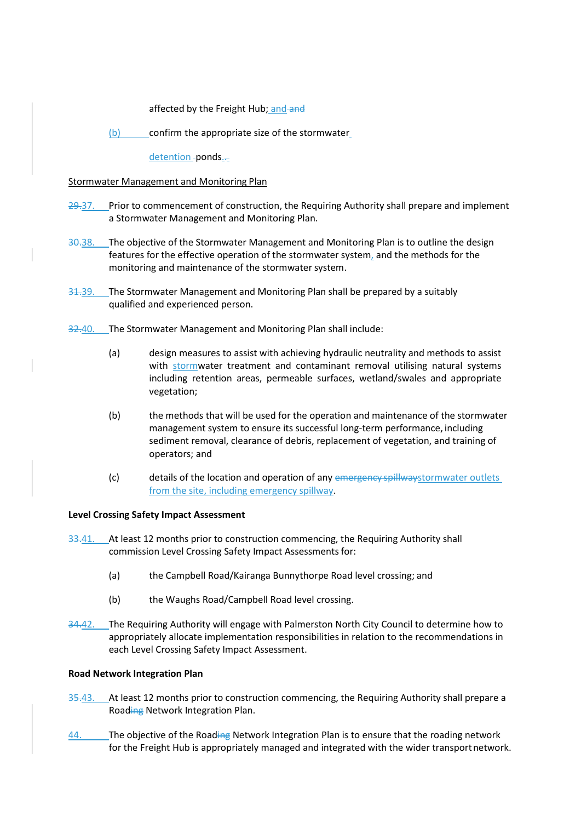affected by the Freight Hub; and and

(b) confirm the appropriate size of the stormwater

detention -ponds.-

## Stormwater Management and Monitoring Plan

- 29.37. Prior to commencement of construction, the Requiring Authority shall prepare and implement a Stormwater Management and Monitoring Plan.
- 30.38. The objective of the Stormwater Management and Monitoring Plan is to outline the design features for the effective operation of the stormwater system, and the methods for the monitoring and maintenance of the stormwater system.
- 31.39. The Stormwater Management and Monitoring Plan shall be prepared by a suitably qualified and experienced person.
- 32.40. The Stormwater Management and Monitoring Plan shall include:
	- (a) design measures to assist with achieving hydraulic neutrality and methods to assist with stormwater treatment and contaminant removal utilising natural systems including retention areas, permeable surfaces, wetland/swales and appropriate vegetation;
	- (b) the methods that will be used for the operation and maintenance of the stormwater management system to ensure its successful long-term performance, including sediment removal, clearance of debris, replacement of vegetation, and training of operators; and
	- (c) details of the location and operation of any emergency spillwaystormwater outlets from the site, including emergency spillway.

### **Level Crossing Safety Impact Assessment**

- 33.41. At least 12 months prior to construction commencing, the Requiring Authority shall commission Level Crossing Safety Impact Assessments for:
	- (a) the Campbell Road/Kairanga Bunnythorpe Road level crossing; and
	- (b) the Waughs Road/Campbell Road level crossing.
- 34.42. The Requiring Authority will engage with Palmerston North City Council to determine how to appropriately allocate implementation responsibilities in relation to the recommendations in each Level Crossing Safety Impact Assessment.

### **Road Network Integration Plan**

- 35.43. At least 12 months prior to construction commencing, the Requiring Authority shall prepare a Roading Network Integration Plan.
- 44. The objective of the Roading Network Integration Plan is to ensure that the roading network for the Freight Hub is appropriately managed and integrated with the wider transport network.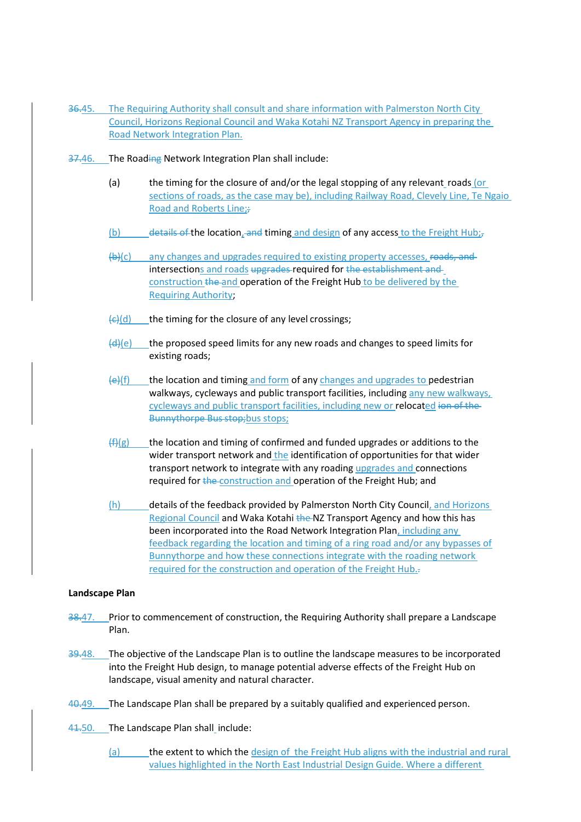- 36.45. The Requiring Authority shall consult and share information with Palmerston North City Council, Horizons Regional Council and Waka Kotahi NZ Transport Agency in preparing the Road Network Integration Plan.
- 37.46. The Roading Network Integration Plan shall include:
	- (a) the timing for the closure of and/or the legal stopping of any relevant roads (or sections of roads, as the case may be), including Railway Road, Clevely Line, Te Ngaio Road and Roberts Line;;
	- (b) details of the location, and timing and design of any access to the Freight Hub;
	- (b)(c) any changes and upgrades required to existing property accesses, roads, and intersections and roads upgrades required for the establishment and construction the and operation of the Freight Hub to be delivered by the Requiring Authority;
	- $\left(\frac{c}{c}\right)$  the timing for the closure of any level crossings;
	- $(d)(e)$  the proposed speed limits for any new roads and changes to speed limits for existing roads;
	- $\left\{ \frac{e}{f}\right\}$  the location and timing and form of any changes and upgrades to pedestrian walkways, cycleways and public transport facilities, including any new walkways, cycleways and public transport facilities, including new or relocated ion of the Bunnythorpe Bus stop; bus stops;
	- $(f)(g)$  the location and timing of confirmed and funded upgrades or additions to the wider transport network and the identification of opportunities for that wider transport network to integrate with any roading upgrades and connections required for the construction and operation of the Freight Hub; and
	- (h) details of the feedback provided by Palmerston North City Council, and Horizons Regional Council and Waka Kotahi the NZ Transport Agency and how this has been incorporated into the Road Network Integration Plan, including any feedback regarding the location and timing of a ring road and/or any bypasses of Bunnythorpe and how these connections integrate with the roading network required for the construction and operation of the Freight Hub.-

### **Landscape Plan**

- 38.47. Prior to commencement of construction, the Requiring Authority shall prepare a Landscape Plan.
- 39.48. The objective of the Landscape Plan is to outline the landscape measures to be incorporated into the Freight Hub design, to manage potential adverse effects of the Freight Hub on landscape, visual amenity and natural character.
- 40.49. The Landscape Plan shall be prepared by a suitably qualified and experienced person.
- 41.50. The Landscape Plan shall include:
	- (a) the extent to which the design of the Freight Hub aligns with the industrial and rural values highlighted in the North East Industrial Design Guide. Where a different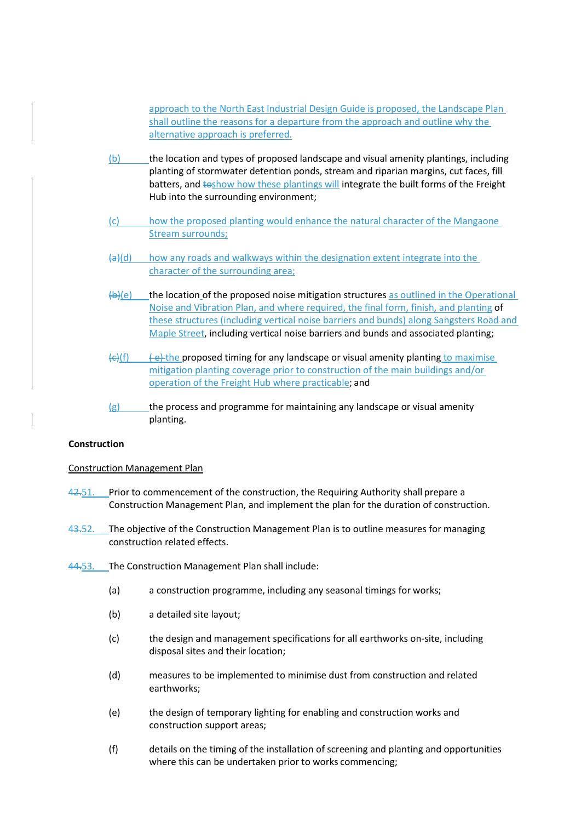approach to the North East Industrial Design Guide is proposed, the Landscape Plan shall outline the reasons for a departure from the approach and outline why the alternative approach is preferred.

- (b) the location and types of proposed landscape and visual amenity plantings, including planting of stormwater detention ponds, stream and riparian margins, cut faces, fill batters, and toshow how these plantings will integrate the built forms of the Freight Hub into the surrounding environment;
- (c) how the proposed planting would enhance the natural character of the Mangaone **Stream surrounds;**
- $(a)$ (d) how any roads and walkways within the designation extent integrate into the character of the surrounding area;
- $(b)$ (e) the location of the proposed noise mitigation structures as outlined in the Operational Noise and Vibration Plan, and where required, the final form, finish, and planting of these structures (including vertical noise barriers and bunds) along Sangsters Road and Maple Street, including vertical noise barriers and bunds and associated planting;
- $\left\langle \epsilon \right\rangle$  (f)  $\left\langle \epsilon \right\rangle$  the proposed timing for any landscape or visual amenity planting to maximise mitigation planting coverage prior to construction of the main buildings and/or operation of the Freight Hub where practicable; and
- $(g)$  the process and programme for maintaining any landscape or visual amenity planting.

## **Construction**

## Construction Management Plan

- 42.51. Prior to commencement of the construction, the Requiring Authority shall prepare a Construction Management Plan, and implement the plan for the duration of construction.
- 43.52. The objective of the Construction Management Plan is to outline measures for managing construction related effects.
- 44.53. The Construction Management Plan shall include:
	- (a) a construction programme, including any seasonal timings for works;
	- (b) a detailed site layout;
	- (c) the design and management specifications for all earthworks on-site, including disposal sites and their location;
	- (d) measures to be implemented to minimise dust from construction and related earthworks;
	- (e) the design of temporary lighting for enabling and construction works and construction support areas;
	- (f) details on the timing of the installation of screening and planting and opportunities where this can be undertaken prior to works commencing;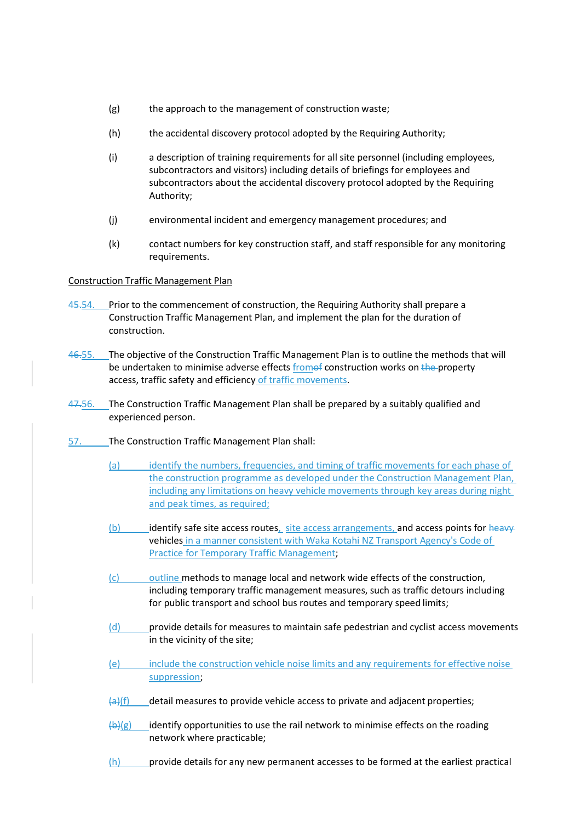- (g) the approach to the management of construction waste;
- (h) the accidental discovery protocol adopted by the Requiring Authority;
- (i) a description of training requirements for all site personnel (including employees, subcontractors and visitors) including details of briefings for employees and subcontractors about the accidental discovery protocol adopted by the Requiring Authority;
- (j) environmental incident and emergency management procedures; and
- (k) contact numbers for key construction staff, and staff responsible for any monitoring requirements.

## Construction Traffic Management Plan

- 45.54. Prior to the commencement of construction, the Requiring Authority shall prepare a Construction Traffic Management Plan, and implement the plan for the duration of construction.
- 46.55. The objective of the Construction Traffic Management Plan is to outline the methods that will be undertaken to minimise adverse effects fromof construction works on the property access, traffic safety and efficiency of traffic movements.
- 47.56. The Construction Traffic Management Plan shall be prepared by a suitably qualified and experienced person.
- 57. The Construction Traffic Management Plan shall:
	- (a) identify the numbers, frequencies, and timing of traffic movements for each phase of the construction programme as developed under the Construction Management Plan, including any limitations on heavy vehicle movements through key areas during night and peak times, as required;
	- (b) identify safe site access routes, site access arrangements, and access points for heavyvehicles in a manner consistent with Waka Kotahi NZ Transport Agency's Code of Practice for Temporary Traffic Management;
	- (c) outline methods to manage local and network wide effects of the construction, including temporary traffic management measures, such as traffic detours including for public transport and school bus routes and temporary speed limits;
	- (d) provide details for measures to maintain safe pedestrian and cyclist access movements in the vicinity of the site;
	- (e) include the construction vehicle noise limits and any requirements for effective noise suppression;
	- $\left\{\frac{a}{b}\right\}$  detail measures to provide vehicle access to private and adjacent properties;
	- $\left(\frac{b}{c}\right)(g)$  identify opportunities to use the rail network to minimise effects on the roading network where practicable;
	- $(h)$  provide details for any new permanent accesses to be formed at the earliest practical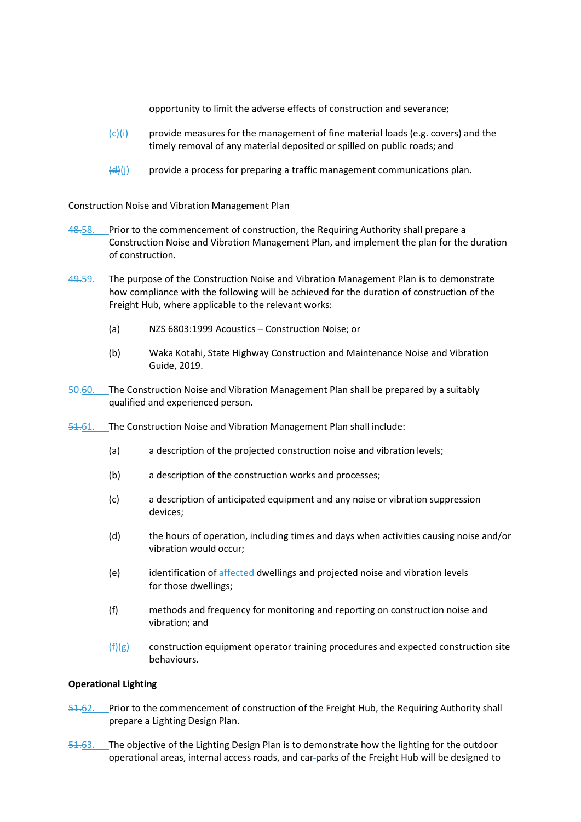opportunity to limit the adverse effects of construction and severance;

- $\left\langle \epsilon \right\rangle$ (i) provide measures for the management of fine material loads (e.g. covers) and the timely removal of any material deposited or spilled on public roads; and
- $\frac{d}{dx}$ (i) provide a process for preparing a traffic management communications plan.

### Construction Noise and Vibration Management Plan

- 48.58. Prior to the commencement of construction, the Requiring Authority shall prepare a Construction Noise and Vibration Management Plan, and implement the plan for the duration of construction.
- 49.59. The purpose of the Construction Noise and Vibration Management Plan is to demonstrate how compliance with the following will be achieved for the duration of construction of the Freight Hub, where applicable to the relevant works:
	- (a) NZS 6803:1999 Acoustics Construction Noise; or
	- (b) Waka Kotahi, State Highway Construction and Maintenance Noise and Vibration Guide, 2019.
- 50.60. The Construction Noise and Vibration Management Plan shall be prepared by a suitably qualified and experienced person.
- 51.61. The Construction Noise and Vibration Management Plan shall include:
	- (a) a description of the projected construction noise and vibration levels;
	- (b) a description of the construction works and processes;
	- (c) a description of anticipated equipment and any noise or vibration suppression devices;
	- (d) the hours of operation, including times and days when activities causing noise and/or vibration would occur;
	- (e) identification of affected dwellings and projected noise and vibration levels for those dwellings;
	- (f) methods and frequency for monitoring and reporting on construction noise and vibration; and
	- $(ff)(g)$  construction equipment operator training procedures and expected construction site behaviours.

### **Operational Lighting**

- 51.62. Prior to the commencement of construction of the Freight Hub, the Requiring Authority shall prepare a Lighting Design Plan.
- 51.63. The objective of the Lighting Design Plan is to demonstrate how the lighting for the outdoor operational areas, internal access roads, and car parks of the Freight Hub will be designed to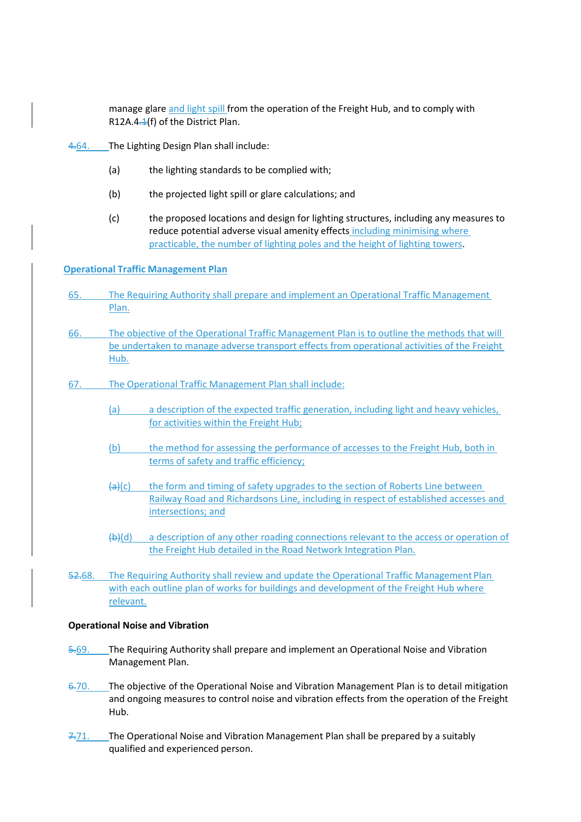manage glare and light spill from the operation of the Freight Hub, and to comply with R12A.4. $\pm$ (f) of the District Plan.

- 4.64. The Lighting Design Plan shall include:
	- (a) the lighting standards to be complied with;
	- (b) the projected light spill or glare calculations; and
	- (c) the proposed locations and design for lighting structures, including any measures to reduce potential adverse visual amenity effects including minimising where practicable, the number of lighting poles and the height of lighting towers.

### **Operational Traffic Management Plan**

- 65. The Requiring Authority shall prepare and implement an Operational Traffic Management Plan.
- 66. The objective of the Operational Traffic Management Plan is to outline the methods that will be undertaken to manage adverse transport effects from operational activities of the Freight Hub.
- 67. The Operational Traffic Management Plan shall include:
	- (a) a description of the expected traffic generation, including light and heavy vehicles, for activities within the Freight Hub;
	- (b) the method for assessing the performance of accesses to the Freight Hub, both in terms of safety and traffic efficiency;
	- $\left\{a\right\}(c)$  the form and timing of safety upgrades to the section of Roberts Line between Railway Road and Richardsons Line, including in respect of established accesses and intersections; and
	- $(b)$ (d) a description of any other roading connections relevant to the access or operation of the Freight Hub detailed in the Road Network Integration Plan.
- 52.68. The Requiring Authority shall review and update the Operational Traffic Management Plan with each outline plan of works for buildings and development of the Freight Hub where relevant.

### **Operational Noise and Vibration**

- 5.69. The Requiring Authority shall prepare and implement an Operational Noise and Vibration Management Plan.
- 6.70. The objective of the Operational Noise and Vibration Management Plan is to detail mitigation and ongoing measures to control noise and vibration effects from the operation of the Freight Hub.
- 7.71. The Operational Noise and Vibration Management Plan shall be prepared by a suitably qualified and experienced person.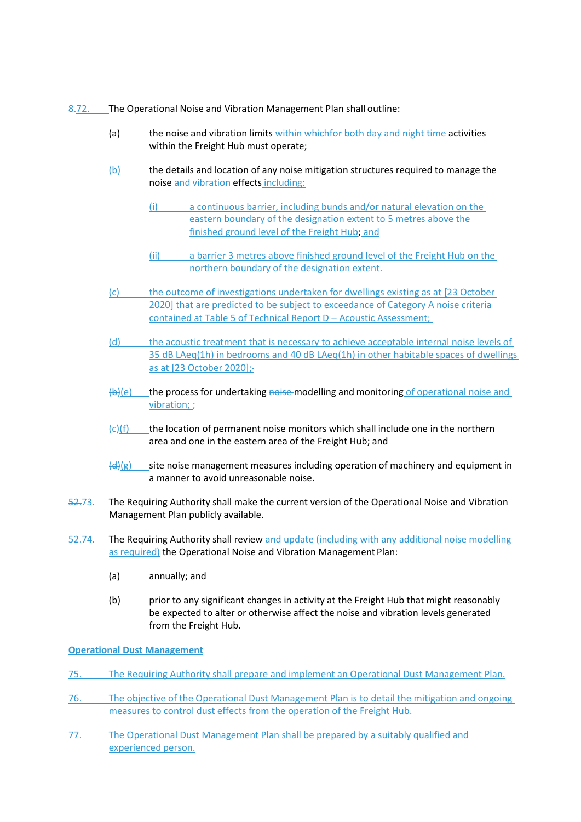- 8.72. The Operational Noise and Vibration Management Plan shall outline:
	- (a) the noise and vibration limits within which for both day and night time activities within the Freight Hub must operate;
	- (b) the details and location of any noise mitigation structures required to manage the noise and vibration effects including:
		- (i) a continuous barrier, including bunds and/or natural elevation on the eastern boundary of the designation extent to 5 metres above the finished ground level of the Freight Hub; and
		- (ii) a barrier 3 metres above finished ground level of the Freight Hub on the northern boundary of the designation extent.
	- (c) the outcome of investigations undertaken for dwellings existing as at [23 October 2020] that are predicted to be subject to exceedance of Category A noise criteria contained at Table 5 of Technical Report D – Acoustic Assessment;
	- (d) the acoustic treatment that is necessary to achieve acceptable internal noise levels of 35 dB LAeq(1h) in bedrooms and 40 dB LAeq(1h) in other habitable spaces of dwellings as at [23 October 2020];
	- $(b)$ (e) the process for undertaking noise modelling and monitoring of operational noise and vibration $:$ :
	- $\left\langle \epsilon \right\rangle$ (f) the location of permanent noise monitors which shall include one in the northern area and one in the eastern area of the Freight Hub; and
	- $\left(\frac{d}{dx}\right)(g)$  site noise management measures including operation of machinery and equipment in a manner to avoid unreasonable noise.
- 52.73. The Requiring Authority shall make the current version of the Operational Noise and Vibration Management Plan publicly available.
- 52.74. The Requiring Authority shall review and update (including with any additional noise modelling as required) the Operational Noise and Vibration Management Plan:
	- (a) annually; and
	- (b) prior to any significant changes in activity at the Freight Hub that might reasonably be expected to alter or otherwise affect the noise and vibration levels generated from the Freight Hub.

**Operational Dust Management** 

- 75. The Requiring Authority shall prepare and implement an Operational Dust Management Plan.
- 76. The objective of the Operational Dust Management Plan is to detail the mitigation and ongoing measures to control dust effects from the operation of the Freight Hub.
- 77. The Operational Dust Management Plan shall be prepared by a suitably qualified and experienced person.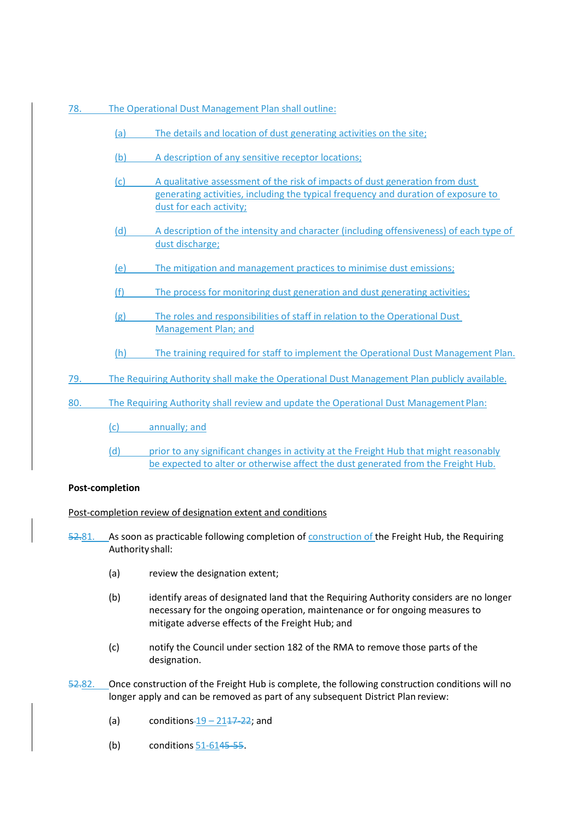- 78. The Operational Dust Management Plan shall outline:
	- (a) The details and location of dust generating activities on the site;
	- (b) A description of any sensitive receptor locations;
	- (c) A qualitative assessment of the risk of impacts of dust generation from dust generating activities, including the typical frequency and duration of exposure to dust for each activity;
	- (d) A description of the intensity and character (including offensiveness) of each type of dust discharge;
	- (e) The mitigation and management practices to minimise dust emissions;
	- (f) The process for monitoring dust generation and dust generating activities;
	- (g) The roles and responsibilities of staff in relation to the Operational Dust Management Plan; and
	- (h) The training required for staff to implement the Operational Dust Management Plan.
- 79. The Requiring Authority shall make the Operational Dust Management Plan publicly available.
- 80. The Requiring Authority shall review and update the Operational Dust Management Plan:
	- (c) annually; and
	- (d) prior to any significant changes in activity at the Freight Hub that might reasonably be expected to alter or otherwise affect the dust generated from the Freight Hub.

## **Post-completion**

Post-completion review of designation extent and conditions

52.81. As soon as practicable following completion of construction of the Freight Hub, the Requiring Authority shall:

- (a) review the designation extent;
- (b) identify areas of designated land that the Requiring Authority considers are no longer necessary for the ongoing operation, maintenance or for ongoing measures to mitigate adverse effects of the Freight Hub; and
- (c) notify the Council under section 182 of the RMA to remove those parts of the designation.
- 52.82. Once construction of the Freight Hub is complete, the following construction conditions will no longer apply and can be removed as part of any subsequent District Plan review:
	- (a) conditions- $19 2117 22$ ; and
	- (b) conditions 51-6145-55.